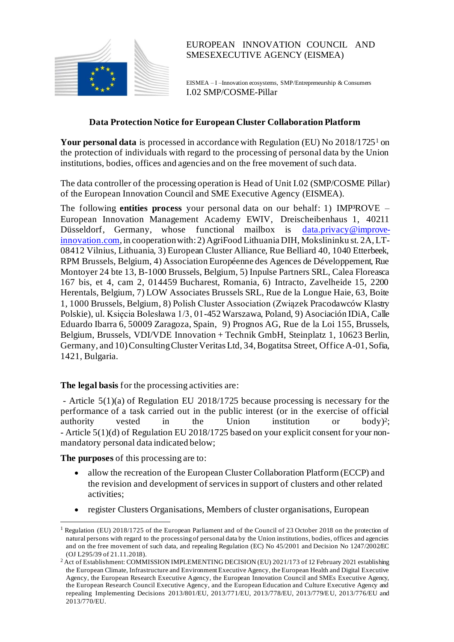

# EUROPEAN INNOVATION COUNCIL AND SMESEXECUTIVE AGENCY (EISMEA)

EISMEA – I –Innovation ecosystems, SMP/Entrepreneurship & Consumers I.02 SMP/COSME-Pillar

## **Data Protection Notice for European Cluster Collaboration Platform**

**Your personal data** is processed in accordance with Regulation (EU) No 2018/1725<sup>1</sup> on the protection of individuals with regard to the processing of personal data by the Union institutions, bodies, offices and agencies and on the free movement of such data.

The data controller of the processing operation is Head of Unit I.02 (SMP/COSME Pillar) of the European Innovation Council and SME Executive Agency (EISMEA).

The following **entities process** your personal data on our behalf: 1) IMP<sup>3</sup>ROVE – European Innovation Management Academy EWIV, Dreischeibenhaus 1, 40211 Düsseldorf, Germany, whose functional mailbox is [data.privacy@improve](mailto:privacy@ecorys.com)[innovation.com](mailto:privacy@ecorys.com), in cooperation with: 2) AgriFood Lithuania DIH, Mokslininku st. 2A, LT-08412 Vilnius, Lithuania, 3) European Cluster Alliance, Rue Belliard 40, 1040 Etterbeek, RPM Brussels, Belgium, 4) Association Européenne des Agences de Développement, Rue Montoyer 24 bte 13, B-1000 Brussels, Belgium, 5) Inpulse Partners SRL, Calea Floreasca 167 bis, et 4, cam 2, 014459 Bucharest, Romania, 6) Intracto, Zavelheide 15, 2200 Herentals, Belgium, 7) LOW Associates Brussels SRL, Rue de la Longue Haie, 63, Boite 1, 1000 Brussels, Belgium, 8) Polish Cluster Association (Związek Pracodawców Klastry Polskie), ul. Księcia Bolesława 1/3, 01-452 Warszawa, Poland, 9) Asociación IDiA, Calle Eduardo Ibarra 6, 50009 Zaragoza, Spain, 9) Prognos AG, Rue de la Loi 155, Brussels, Belgium, Brussels, VDI/VDE Innovation + Technik GmbH, Steinplatz 1, 10623 Berlin, Germany, and 10)Consulting Cluster Veritas Ltd, 34, Bogatitsa Street, Office A-01, Sofia, 1421, Bulgaria.

## **The legal basis** for the processing activities are:

- Article 5(1)(a) of Regulation EU 2018/1725 because processing is necessary for the performance of a task carried out in the public interest (or in the exercise of official authority vested in the Union institution or  $body$ ?: - Article 5(1)(d) of Regulation EU 2018/1725 based on your explicit consent for your nonmandatory personal data indicated below;

**The purposes** of this processing are to:

- allow the recreation of the European Cluster Collaboration Platform (ECCP) and the revision and development of services in support of clusters and other related activities;
- register Clusters Organisations, Members of cluster organisations, European

<sup>&</sup>lt;sup>1</sup> Regulation (EU) 2018/1725 of the European Parliament and of the Council of 23 October 2018 on the protection of [natural persons with regard to the processing of personal data by the Union institutions, bodies, offices and agencies](https://eur-lex.europa.eu/legal-content/EN/TXT/?uri=uriserv:OJ.L_.2018.295.01.0039.01.ENG&toc=OJ:L:2018:295:TOC)  [and on the free movement of such data, and repealing Regulation \(EC\) No 45/2001 and Decision No 1247/2002/EC](https://eur-lex.europa.eu/legal-content/EN/TXT/?uri=uriserv:OJ.L_.2018.295.01.0039.01.ENG&toc=OJ:L:2018:295:TOC) (OJ L295/39 of 21.11.2018).

<sup>&</sup>lt;sup>2</sup> Act of Establishment: COMMISSION IMPLEMENTING DECISION (EU) 2021/173 of 12 February 2021 establishing the European Climate, Infrastructure and Environment Executive Agency, the European Health and Digital Executive Agency, the European Research Executive Agency, the European Innovation Council and SMEs Executive Agency, the European Research Council Executive Agency, and the European Education and Culture Executive Agency and repealing Implementing Decisions 2013/801/EU, 2013/771/EU, 2013/778/EU, 2013/779/E U, 2013/776/EU and 2013/770/EU.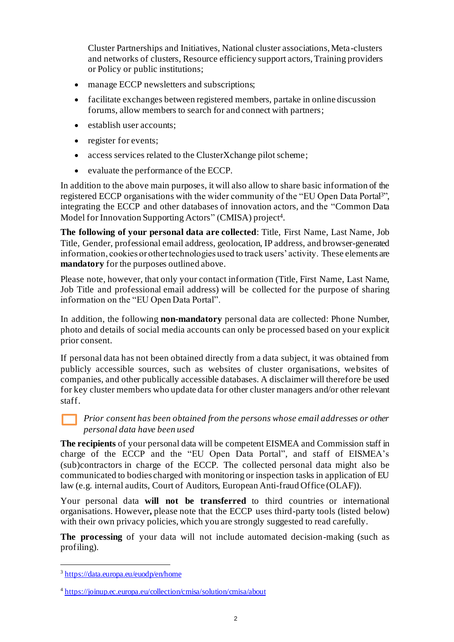Cluster Partnerships and Initiatives, National cluster associations, Meta-clusters and networks of clusters, Resource efficiency support actors, Training providers or Policy or public institutions;

- manage ECCP newsletters and subscriptions;
- facilitate exchanges between registered members, partake in online discussion forums, allow members to search for and connect with partners;
- establish user accounts:
- register for events;
- access services related to the ClusterXchange pilot scheme;
- evaluate the performance of the ECCP.

In addition to the above main purposes, it will also allow to share basic information of the registered ECCP organisations with the wider community of the "EU Open Data Portal3", integrating the ECCP and other databases of innovation actors, and the "Common Data Model for Innovation Supporting Actors" (CMISA) project<sup>4</sup>.

**The following of your personal data are collected**: Title, First Name, Last Name, Job Title, Gender, professional email address, geolocation, IP address, and browser-generated information, cookies or other technologies used to track users' activity. These elements are **mandatory** for the purposes outlined above.

Please note, however, that only your contact information (Title, First Name, Last Name, Job Title and professional email address) will be collected for the purpose of sharing information on the "EU Open Data Portal".

In addition, the following **non-mandatory** personal data are collected: Phone Number, photo and details of social media accounts can only be processed based on your explicit prior consent.

If personal data has not been obtained directly from a data subject, it was obtained from publicly accessible sources, such as websites of cluster organisations, websites of companies, and other publically accessible databases. A disclaimer will therefore be used for key cluster members who update data for other cluster managers and/or other relevant staff.

## *Prior consent has been obtained from the persons whose email addresses or other personal data have been used*

**The recipients** of your personal data will be competent EISMEA and Commission staff in charge of the ECCP and the "EU Open Data Portal", and staff of EISMEA's (sub)contractors in charge of the ECCP. The collected personal data might also be communicated to bodies charged with monitoring or inspection tasks in application of EU law (e.g. internal audits, Court of Auditors, European Anti-fraud Office (OLAF)).

Your personal data **will not be transferred** to third countries or international organisations. However**,** please note that the ECCP uses third-party tools (listed below) with their own privacy policies, which you are strongly suggested to read carefully.

**The processing** of your data will not include automated decision-making (such as profiling).

<sup>&</sup>lt;sup>3</sup> <https://data.europa.eu/euodp/en/home>

<sup>4</sup> <https://joinup.ec.europa.eu/collection/cmisa/solution/cmisa/about>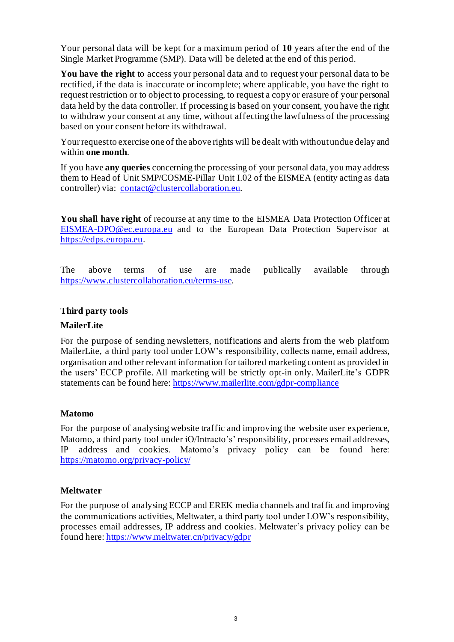Your personal data will be kept for a maximum period of **10** years after the end of the Single Market Programme (SMP). Data will be deleted at the end of this period.

**You have the right** to access your personal data and to request your personal data to be rectified, if the data is inaccurate or incomplete; where applicable, you have the right to request restriction or to object to processing, to request a copy or erasure of your personal data held by the data controller. If processing is based on your consent, you have the right to withdraw your consent at any time, without affecting the lawfulness of the processing based on your consent before its withdrawal.

Your request to exercise one of the above rights will be dealt with without undue delay and within **one month**.

If you have **any queries** concerning the processing of your personal data, you may address them to Head of Unit SMP/COSME-Pillar Unit I.02 of the EISMEA (entity acting as data controller) via: [contact@clustercollaboration.eu.](mailto:contact@clustercollaboration.eu)

**You shall have right** of recourse at any time to the EISMEA Data Protection Officer at [EISMEA-DPO@ec.europa.eu](mailto:EISMEA-DPO@ec.europa.eu) and to the European Data Protection Supervisor at [https://edps.europa.eu](https://edps.europa.eu/).

The above terms of use are made publically available through [https://www.clustercollaboration.eu/terms-use.](https://www.clustercollaboration.eu/terms-use)

#### **Third party tools**

### **MailerLite**

For the purpose of sending newsletters, notifications and alerts from the web platform MailerLite, a third party tool under LOW's responsibility, collects name, email address, organisation and other relevant information for tailored marketing content as provided in the users' ECCP profile. All marketing will be strictly opt-in only. MailerLite's GDPR statements can be found here[: https://www.mailerlite.com/gdpr-compliance](https://www.mailerlite.com/gdpr-compliance)

#### **Matomo**

For the purpose of analysing website traffic and improving the website user experience, Matomo, a third party tool under iO/Intracto's' responsibility, processes email addresses, IP address and cookies. Matomo's privacy policy can be found here: <https://matomo.org/privacy-policy/>

#### **Meltwater**

For the purpose of analysing ECCP and EREK media channels and traffic and improving the communications activities, Meltwater, a third party tool under LOW's responsibility, processes email addresses, IP address and cookies. Meltwater's privacy policy can be found here[: https://www.meltwater.cn/privacy/gdpr](https://www.meltwater.cn/privacy/gdpr)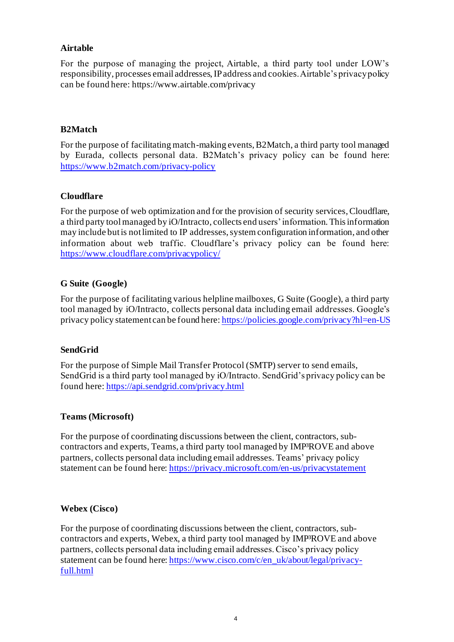## **Airtable**

For the purpose of managing the project, Airtable, a third party tool under LOW's responsibility, processes email addresses, IP address and cookies. Airtable's privacy policy can be found here: https://www.airtable.com/privacy

# **B2Match**

For the purpose of facilitating match-making events, B2Match, a third party tool managed by Eurada, collects personal data. B2Match's privacy policy can be found here: <https://www.b2match.com/privacy-policy>

## **Cloudflare**

For the purpose of web optimization and for the provision of security services, Cloudflare, a third party tool managed by iO/Intracto, collects end users' information. This information may include but is not limited to IP addresses, system configuration information, and other information about web traffic. Cloudflare's privacy policy can be found here: <https://www.cloudflare.com/privacypolicy/>

## **G Suite (Google)**

For the purpose of facilitating various helpline mailboxes, G Suite (Google), a third party tool managed by iO/Intracto, collects personal data including email addresses. Google's privacy policy statement can be found here[: https://policies.google.com/privacy?hl=en-US](https://policies.google.com/privacy?hl=en-US)

## **SendGrid**

For the purpose of Simple Mail Transfer Protocol (SMTP) server to send emails, SendGrid is a third party tool managed by iO/Intracto. SendGrid's privacy policy can be found here[: https://api.sendgrid.com/privacy.html](https://api.sendgrid.com/privacy.html)

## **Teams (Microsoft)**

For the purpose of coordinating discussions between the client, contractors, subcontractors and experts, Teams, a third party tool managed by IMP<sup>3</sup>ROVE and above partners, collects personal data including email addresses. Teams' privacy policy statement can be found here[: https://privacy.microsoft.com/en-us/privacystatement](https://privacy.microsoft.com/en-us/privacystatement)

## **Webex (Cisco)**

For the purpose of coordinating discussions between the client, contractors, subcontractors and experts, Webex, a third party tool managed by IMP<sup>3</sup>ROVE and above partners, collects personal data including email addresses. Cisco's privacy policy statement can be found here[: https://www.cisco.com/c/en\\_uk/about/legal/privacy](https://www.cisco.com/c/en_uk/about/legal/privacy-full.html)[full.html](https://www.cisco.com/c/en_uk/about/legal/privacy-full.html)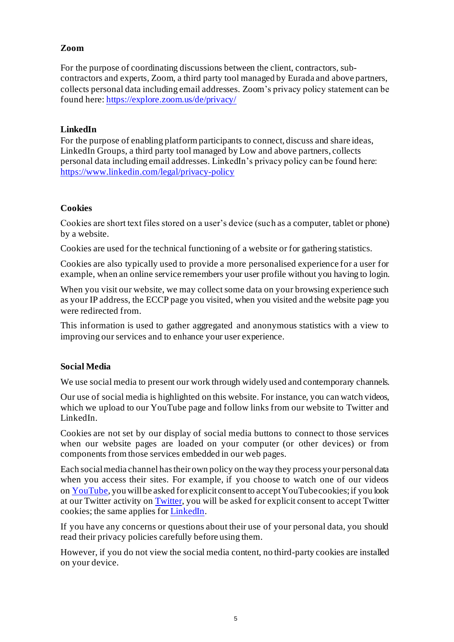## **Zoom**

For the purpose of coordinating discussions between the client, contractors, subcontractors and experts, Zoom, a third party tool managed by Eurada and above partners, collects personal data including email addresses. Zoom's privacy policy statement can be found here[: https://explore.zoom.us/de/privacy/](https://explore.zoom.us/de/privacy/)

## **LinkedIn**

For the purpose of enabling platform participants to connect, discuss and share ideas, LinkedIn Groups, a third party tool managed by Low and above partners, collects personal data including email addresses. LinkedIn's privacy policy can be found here: <https://www.linkedin.com/legal/privacy-policy>

## **Cookies**

Cookies are short text files stored on a user's device (such as a computer, tablet or phone) by a website.

Cookies are used for the technical functioning of a website or for gathering statistics.

Cookies are also typically used to provide a more personalised experience for a user for example, when an online service remembers your user profile without you having to login.

When you visit our website, we may collect some data on your browsing experience such as your IP address, the ECCP page you visited, when you visited and the website page you were redirected from.

This information is used to gather aggregated and anonymous statistics with a view to improving our services and to enhance your user experience.

## **Social Media**

We use social media to present our work through widely used and contemporary channels.

Our use of social media is highlighted on this website. For instance, you can watch videos, which we upload to our YouTube page and follow links from our website to Twitter and LinkedIn.

Cookies are not set by our display of social media buttons to connect to those services when our website pages are loaded on your computer (or other devices) or from components from those services embedded in our web pages.

Each social media channel has their own policy on the way they process your personal data when you access their sites. For example, if you choose to watch one of our videos on [YouTube,](https://www.youtube.com/static?template=privacy_guidelines) you will be asked for explicit consent to accept YouTube cookies; if you look at our Twitter activity on [Twitter,](https://twitter.com/privacy?lang=en) you will be asked for explicit consent to accept Twitter cookies; the same applies for **[LinkedIn](https://www.linkedin.com/legal/privacy-policy)**.

If you have any concerns or questions about their use of your personal data, you should read their privacy policies carefully before using them.

However, if you do not view the social media content, no third-party cookies are installed on your device.